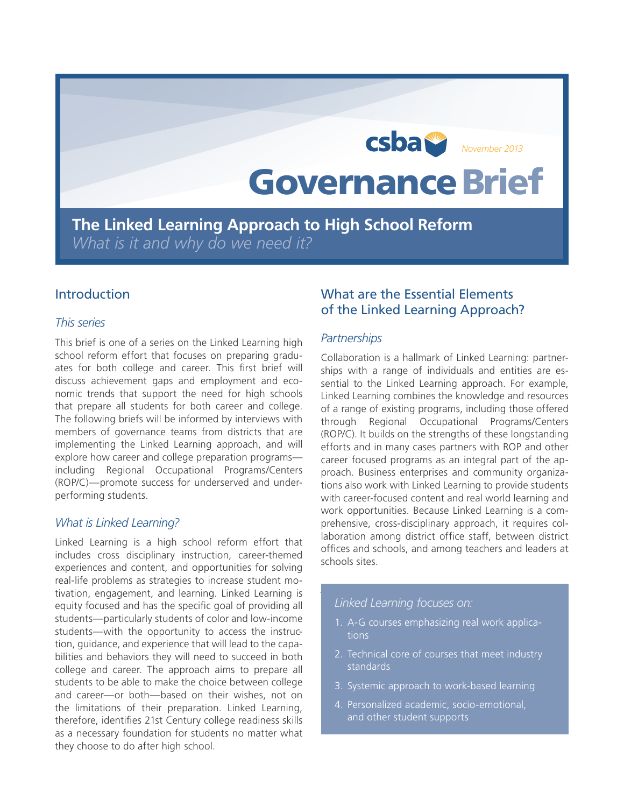# Governance Brief CSDa<sup>SP</sup><br>November 2013

**The Linked Learning Approach to High School Reform**  *What is it and why do we need it?*

# Introduction

#### *This series*

This brief is one of a series on the Linked Learning high school reform effort that focuses on preparing graduates for both college and career. This first brief will discuss achievement gaps and employment and economic trends that support the need for high schools that prepare all students for both career and college. The following briefs will be informed by interviews with members of governance teams from districts that are implementing the Linked Learning approach, and will explore how career and college preparation programs including Regional Occupational Programs/Centers (ROP/C)—promote success for underserved and underperforming students.

#### *What is Linked Learning?*

Linked Learning is a high school reform effort that includes cross disciplinary instruction, career-themed experiences and content, and opportunities for solving real-life problems as strategies to increase student motivation, engagement, and learning. Linked Learning is equity focused and has the specific goal of providing all students—particularly students of color and low-income students—with the opportunity to access the instruction, guidance, and experience that will lead to the capabilities and behaviors they will need to succeed in both college and career. The approach aims to prepare all students to be able to make the choice between college and career—or both—based on their wishes, not on the limitations of their preparation. Linked Learning, therefore, identifies 21st Century college readiness skills as a necessary foundation for students no matter what they choose to do after high school.

# What are the Essential Elements of the Linked Learning Approach?

#### *Partnerships*

Collaboration is a hallmark of Linked Learning: partnerships with a range of individuals and entities are essential to the Linked Learning approach. For example, Linked Learning combines the knowledge and resources of a range of existing programs, including those offered through Regional Occupational Programs/Centers (ROP/C). It builds on the strengths of these longstanding efforts and in many cases partners with ROP and other career focused programs as an integral part of the approach. Business enterprises and community organizations also work with Linked Learning to provide students with career-focused content and real world learning and work opportunities. Because Linked Learning is a comprehensive, cross-disciplinary approach, it requires collaboration among district office staff, between district offices and schools, and among teachers and leaders at schools sites.

### *Access to rigorous academics and personalized supports Linked Learning focuses on:*

- 1. A-G courses emphasizing real work applicaachievement gaps is to provide students of color with  $\alpha$  and  $\alpha$ tions
- 2. Technical core of courses that meet industry ulum. Linked Learning does not define access as simply standards enrolling these students in A-G courses, but includes in A-G courses, but includes in
- 3. Systemic approach to work-based learning
- 4. Personalized academic, socio-emotional, and other student supports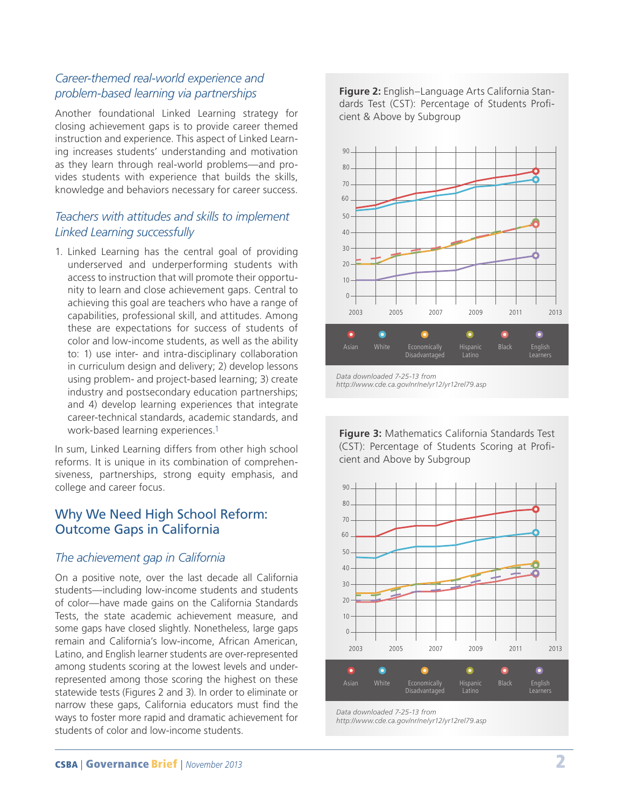# *Career-themed real-world experience and problem-based learning via partnerships*

Another foundational Linked Learning strategy for closing achievement gaps is to provide career themed instruction and experience. This aspect of Linked Learning increases students' understanding and motivation as they learn through real-world problems—and provides students with experience that builds the skills, knowledge and behaviors necessary for career success.

# *Teachers with attitudes and skills to implement Linked Learning successfully*

1. Linked Learning has the central goal of providing underserved and underperforming students with access to instruction that will promote their opportunity to learn and close achievement gaps. Central to achieving this goal are teachers who have a range of capabilities, professional skill, and attitudes. Among these are expectations for success of students of color and low-income students, as well as the ability to: 1) use inter- and intra-disciplinary collaboration in curriculum design and delivery; 2) develop lessons using problem- and project-based learning; 3) create industry and postsecondary education partnerships; and 4) develop learning experiences that integrate career-technical standards, academic standards, and work-based learning experiences.1

In sum, Linked Learning differs from other high school reforms. It is unique in its combination of comprehensiveness, partnerships, strong equity emphasis, and college and career focus.

# Why We Need High School Reform: Outcome Gaps in California

# *The achievement gap in California*

On a positive note, over the last decade all California students—including low-income students and students of color—have made gains on the California Standards Tests, the state academic achievement measure, and some gaps have closed slightly. Nonetheless, large gaps remain and California's low-income, African American, Latino, and English learner students are over-represented among students scoring at the lowest levels and underrepresented among those scoring the highest on these statewide tests (Figures 2 and 3). In order to eliminate or narrow these gaps, California educators must find the ways to foster more rapid and dramatic achievement for students of color and low-income students.

**Figure 2:** English–Language Arts California Standards Test (CST): Percentage of Students Proficient & Above by Subgroup



**Figure 3:** Mathematics California Standards Test (CST): Percentage of Students Scoring at Proficient and Above by Subgroup

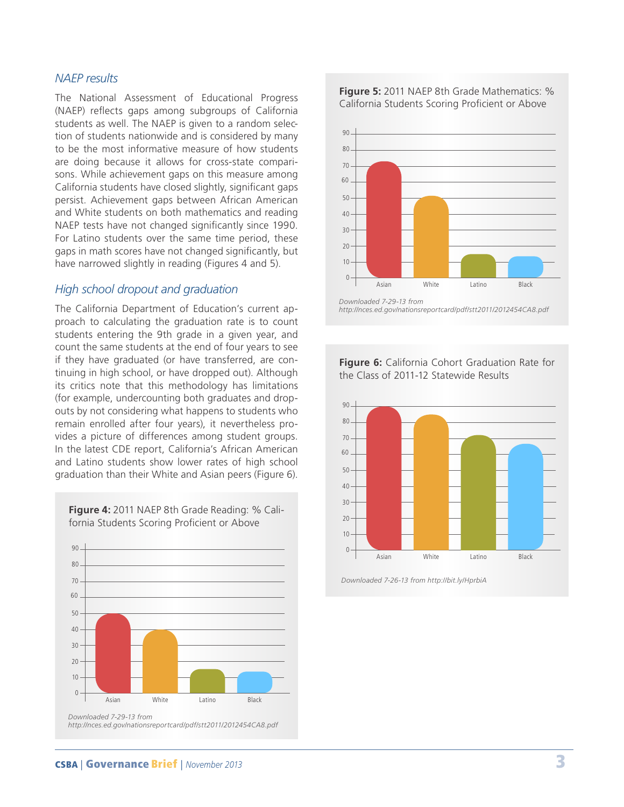#### *NAEP results*

The National Assessment of Educational Progress (NAEP) reflects gaps among subgroups of California students as well. The NAEP is given to a random selection of students nationwide and is considered by many to be the most informative measure of how students are doing because it allows for cross-state comparisons. While achievement gaps on this measure among California students have closed slightly, significant gaps persist. Achievement gaps between African American and White students on both mathematics and reading NAEP tests have not changed significantly since 1990. For Latino students over the same time period, these gaps in math scores have not changed significantly, but have narrowed slightly in reading (Figures 4 and 5).

The California Department of Education's current approach to calculating the graduation rate is to count students entering the 9th grade in a given year, and count the same students at the end of four years to see if they have graduated (or have transferred, are continuing in high school, or have dropped out). Although its critics note that this methodology has limitations (for example, undercounting both graduates and dropouts by not considering what happens to students who remain enrolled after four years), it nevertheless provides a picture of differences among student groups. In the latest CDE report, California's African American and Latino students show lower rates of high school graduation than their White and Asian peers (Figure 6).

*Downloaded 7-29-13 from http://nces.ed.gov/nationsreportcard/pdf/stt2011/2012454CA8.pdf* 0 10 20 30 40 50 60  $70 -$ 80  $90 -$ Asian White Latino Black

**Figure 4:** 2011 NAEP 8th Grade Reading: % California Students Scoring Proficient or Above





*http://nces.ed.gov/nationsreportcard/pdf/stt2011/2012454CA8.pdf*

#### **Figure 6:** California Cohort Graduation Rate for the Class of 2011-12 Statewide Results



*Downloaded 7-26-13 from http://bit.ly/HprbiA*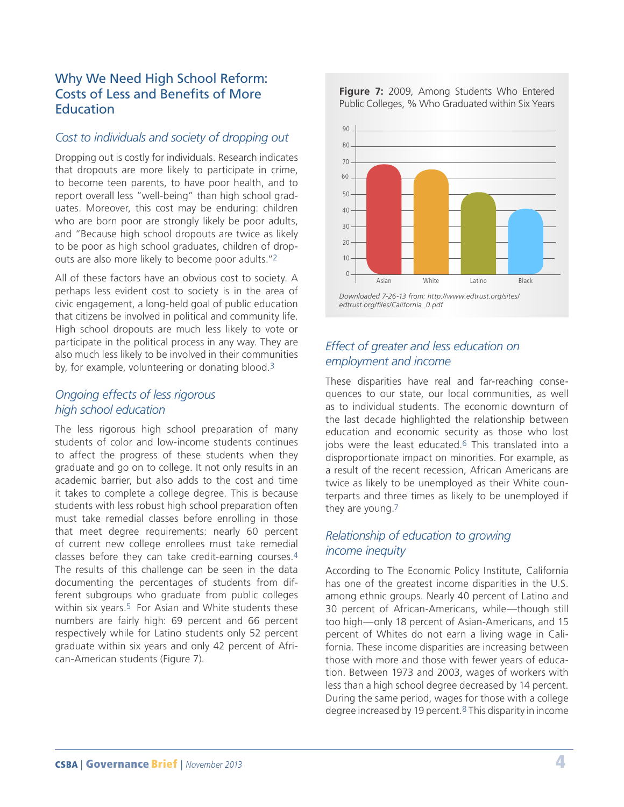# Why We Need High School Reform: Costs of Less and Benefits of More **Education**

### *Cost to individuals and society of dropping out*

Dropping out is costly for individuals. Research indicates that dropouts are more likely to participate in crime, to become teen parents, to have poor health, and to report overall less "well-being" than high school graduates. Moreover, this cost may be enduring: children who are born poor are strongly likely be poor adults, and "Because high school dropouts are twice as likely to be poor as high school graduates, children of dropouts are also more likely to become poor adults."2

All of these factors have an obvious cost to society. A perhaps less evident cost to society is in the area of civic engagement, a long-held goal of public education that citizens be involved in political and community life. High school dropouts are much less likely to vote or participate in the political process in any way. They are also much less likely to be involved in their communities by, for example, volunteering or donating blood.<sup>3</sup>

## *Ongoing effects of less rigorous high school education*

The less rigorous high school preparation of many students of color and low-income students continues to affect the progress of these students when they graduate and go on to college. It not only results in an academic barrier, but also adds to the cost and time it takes to complete a college degree. This is because students with less robust high school preparation often must take remedial classes before enrolling in those that meet degree requirements: nearly 60 percent of current new college enrollees must take remedial classes before they can take credit-earning courses.4 The results of this challenge can be seen in the data documenting the percentages of students from different subgroups who graduate from public colleges within six years.<sup>5</sup> For Asian and White students these numbers are fairly high: 69 percent and 66 percent respectively while for Latino students only 52 percent graduate within six years and only 42 percent of African-American students (Figure 7).

**Figure 7:** 2009, Among Students Who Entered Public Colleges, % Who Graduated within Six Years



# *Effect of greater and less education on employment and income*

These disparities have real and far-reaching consequences to our state, our local communities, as well as to individual students. The economic downturn of the last decade highlighted the relationship between education and economic security as those who lost jobs were the least educated.<sup>6</sup> This translated into a disproportionate impact on minorities. For example, as a result of the recent recession, African Americans are twice as likely to be unemployed as their White counterparts and three times as likely to be unemployed if they are young.7

# *Relationship of education to growing income inequity*

According to The Economic Policy Institute, California has one of the greatest income disparities in the U.S. among ethnic groups. Nearly 40 percent of Latino and 30 percent of African-Americans, while—though still too high—only 18 percent of Asian-Americans, and 15 percent of Whites do not earn a living wage in California. These income disparities are increasing between those with more and those with fewer years of education. Between 1973 and 2003, wages of workers with less than a high school degree decreased by 14 percent. During the same period, wages for those with a college degree increased by 19 percent.8 This disparity in income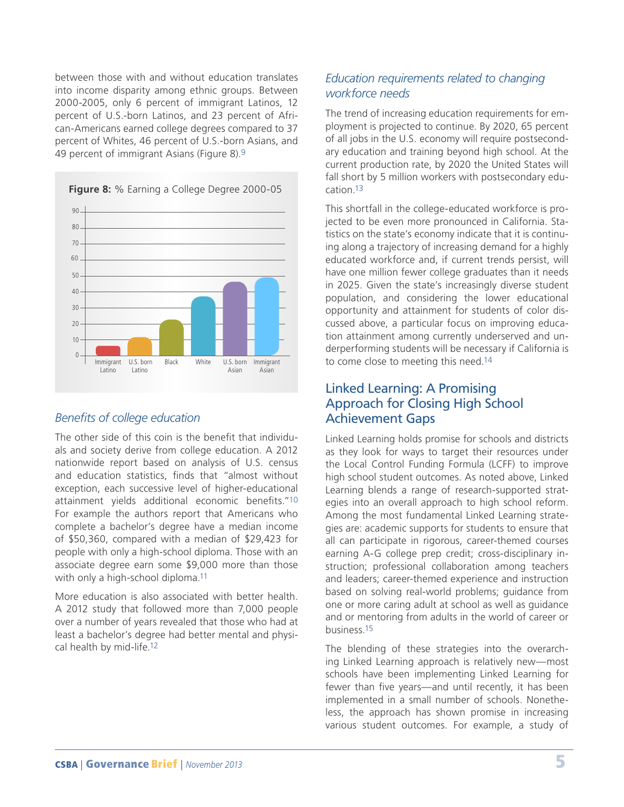between those with and without education translates into income disparity among ethnic groups. Between 2000-2005, only 6 percent of immigrant Latinos, 12 percent of U.S.-born Latinos, and 23 percent of African-Americans earned college degrees compared to 37 percent of Whites, 46 percent of U.S.-born Asians, and 49 percent of immigrant Asians (Figure 8).9



#### *Benefits of college education*

The other side of this coin is the benefit that individuals and society derive from college education. A 2012 nationwide report based on analysis of U.S. census and education statistics, finds that "almost without exception, each successive level of higher-educational attainment yields additional economic benefits."10 For example the authors report that Americans who complete a bachelor's degree have a median income of \$50,360, compared with a median of \$29,423 for people with only a high-school diploma. Those with an associate degree earn some \$9,000 more than those with only a high-school diploma.<sup>11</sup>

More education is also associated with better health. A 2012 study that followed more than 7,000 people over a number of years revealed that those who had at least a bachelor's degree had better mental and physical health by mid-life.12

# *Education requirements related to changing workforce needs*

The trend of increasing education requirements for employment is projected to continue. By 2020, 65 percent of all jobs in the U.S. economy will require postsecondary education and training beyond high school. At the current production rate, by 2020 the United States will fall short by 5 million workers with postsecondary education.13

This shortfall in the college-educated workforce is projected to be even more pronounced in California. Statistics on the state's economy indicate that it is continuing along a trajectory of increasing demand for a highly educated workforce and, if current trends persist, will have one million fewer college graduates than it needs in 2025. Given the state's increasingly diverse student population, and considering the lower educational opportunity and attainment for students of color discussed above, a particular focus on improving education attainment among currently underserved and underperforming students will be necessary if California is to come close to meeting this need.14

# Linked Learning: A Promising Approach for Closing High School Achievement Gaps

Linked Learning holds promise for schools and districts as they look for ways to target their resources under the Local Control Funding Formula (LCFF) to improve high school student outcomes. As noted above, Linked Learning blends a range of research-supported strategies into an overall approach to high school reform. Among the most fundamental Linked Learning strategies are: academic supports for students to ensure that all can participate in rigorous, career-themed courses earning A-G college prep credit; cross-disciplinary instruction; professional collaboration among teachers and leaders; career-themed experience and instruction based on solving real-world problems; guidance from one or more caring adult at school as well as guidance and or mentoring from adults in the world of career or business.15

The blending of these strategies into the overarching Linked Learning approach is relatively new—most schools have been implementing Linked Learning for fewer than five years—and until recently, it has been implemented in a small number of schools. Nonetheless, the approach has shown promise in increasing various student outcomes. For example, a study of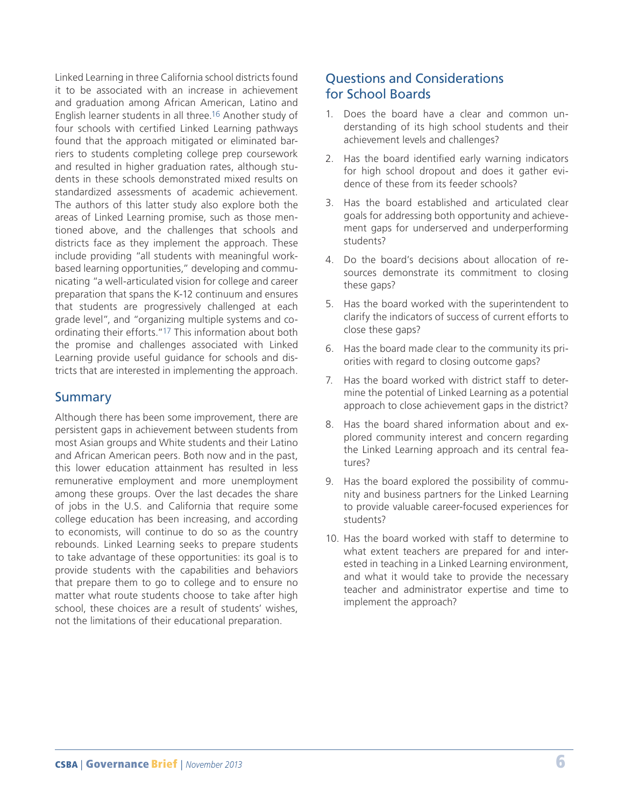Linked Learning in three California school districts found it to be associated with an increase in achievement and graduation among African American, Latino and English learner students in all three.16 Another study of four schools with certified Linked Learning pathways found that the approach mitigated or eliminated barriers to students completing college prep coursework and resulted in higher graduation rates, although students in these schools demonstrated mixed results on standardized assessments of academic achievement. The authors of this latter study also explore both the areas of Linked Learning promise, such as those mentioned above, and the challenges that schools and districts face as they implement the approach. These include providing "all students with meaningful workbased learning opportunities," developing and communicating "a well-articulated vision for college and career preparation that spans the K-12 continuum and ensures that students are progressively challenged at each grade level", and "organizing multiple systems and coordinating their efforts."17 This information about both the promise and challenges associated with Linked Learning provide useful guidance for schools and districts that are interested in implementing the approach.

# Summary

Although there has been some improvement, there are persistent gaps in achievement between students from most Asian groups and White students and their Latino and African American peers. Both now and in the past, this lower education attainment has resulted in less remunerative employment and more unemployment among these groups. Over the last decades the share of jobs in the U.S. and California that require some college education has been increasing, and according to economists, will continue to do so as the country rebounds. Linked Learning seeks to prepare students to take advantage of these opportunities: its goal is to provide students with the capabilities and behaviors that prepare them to go to college and to ensure no matter what route students choose to take after high school, these choices are a result of students' wishes, not the limitations of their educational preparation.

# Questions and Considerations for School Boards

- 1. Does the board have a clear and common understanding of its high school students and their achievement levels and challenges?
- 2. Has the board identified early warning indicators for high school dropout and does it gather evidence of these from its feeder schools?
- 3. Has the board established and articulated clear goals for addressing both opportunity and achievement gaps for underserved and underperforming students?
- 4. Do the board's decisions about allocation of resources demonstrate its commitment to closing these gaps?
- 5. Has the board worked with the superintendent to clarify the indicators of success of current efforts to close these gaps?
- 6. Has the board made clear to the community its priorities with regard to closing outcome gaps?
- 7. Has the board worked with district staff to determine the potential of Linked Learning as a potential approach to close achievement gaps in the district?
- 8. Has the board shared information about and explored community interest and concern regarding the Linked Learning approach and its central features?
- 9. Has the board explored the possibility of community and business partners for the Linked Learning to provide valuable career-focused experiences for students?
- 10. Has the board worked with staff to determine to what extent teachers are prepared for and interested in teaching in a Linked Learning environment, and what it would take to provide the necessary teacher and administrator expertise and time to implement the approach?